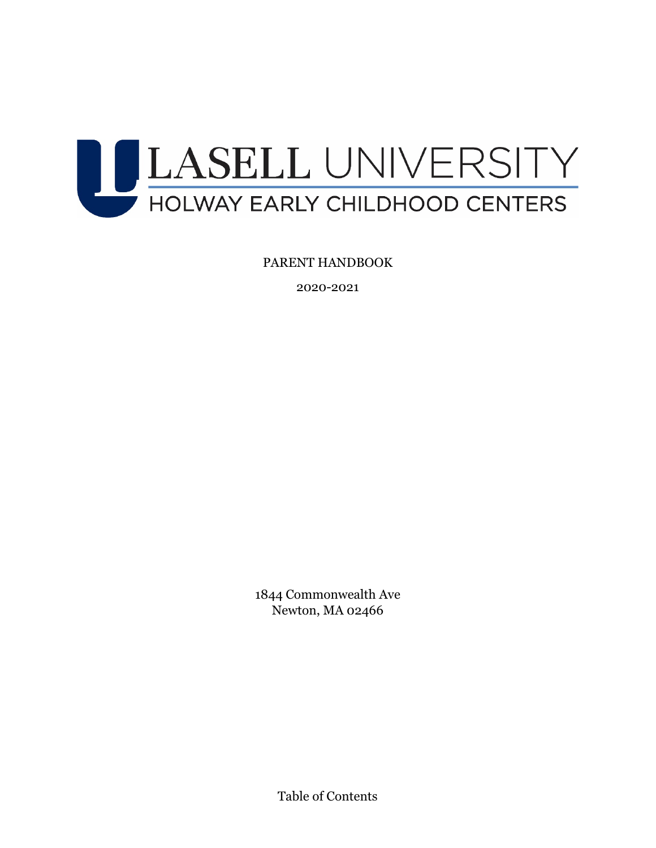

PARENT HANDBOOK

2020-2021

1844 Commonwealth Ave Newton, MA 02466

Table of Contents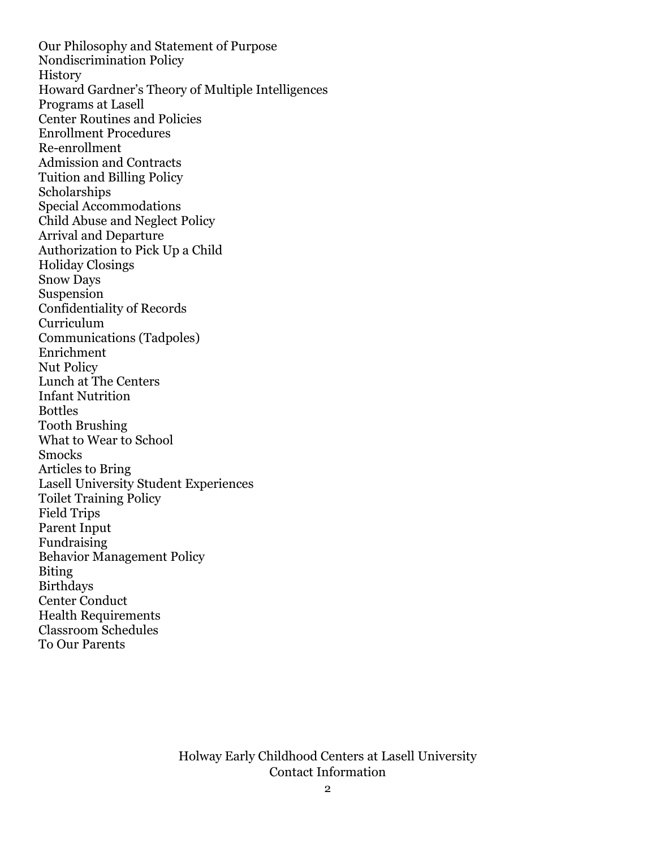Our Philosophy and Statement of Purpose Nondiscrimination Policy **History** Howard Gardner's Theory of Multiple Intelligences Programs at Lasell Center Routines and Policies Enrollment Procedures Re-enrollment Admission and Contracts Tuition and Billing Policy Scholarships Special Accommodations Child Abuse and Neglect Policy Arrival and Departure Authorization to Pick Up a Child Holiday Closings Snow Days Suspension Confidentiality of Records Curriculum Communications (Tadpoles) Enrichment Nut Policy Lunch at The Centers Infant Nutrition Bottles Tooth Brushing What to Wear to School Smocks Articles to Bring Lasell University Student Experiences Toilet Training Policy Field Trips Parent Input Fundraising Behavior Management Policy Biting Birthdays Center Conduct Health Requirements Classroom Schedules To Our Parents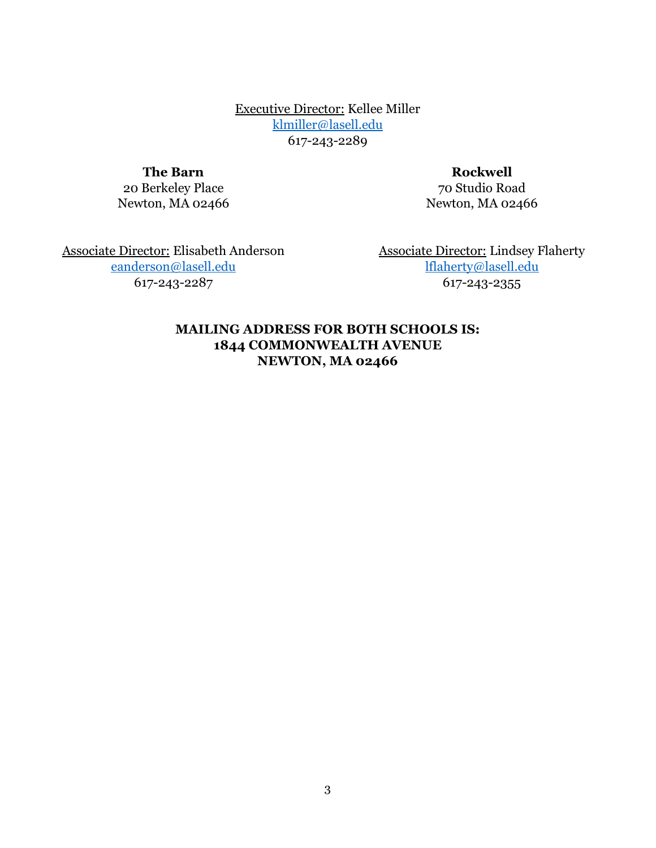Executive Director: Kellee Miller [klmiller@lasell.edu](mailto:klmiller@lasell.edu) 617-243-2289

**The Barn**

20 Berkeley Place Newton, MA 02466

**Rockwell** 70 Studio Road Newton, MA 02466

Associate Director: Elisabeth Anderson [eanderson@lasell.edu](mailto:eanderson@lasell.edu) 617-243-2287

Associate Director: Lindsey Flaherty [lflaherty@lasell.edu](mailto:lflaherty@lasell.edu) 617-243-2355

#### **MAILING ADDRESS FOR BOTH SCHOOLS IS: 1844 COMMONWEALTH AVENUE NEWTON, MA 02466**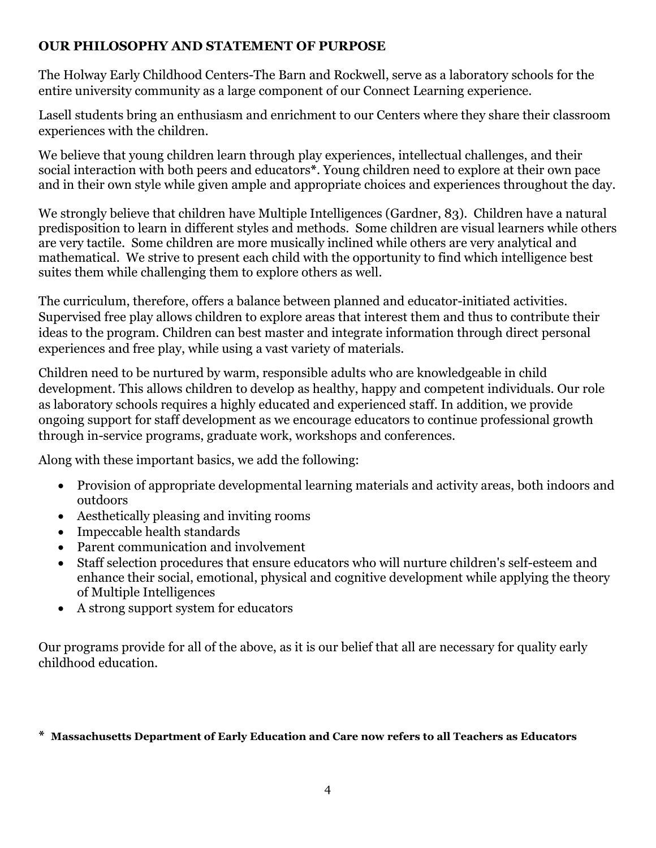## **OUR PHILOSOPHY AND STATEMENT OF PURPOSE**

The Holway Early Childhood Centers-The Barn and Rockwell, serve as a laboratory schools for the entire university community as a large component of our Connect Learning experience.

Lasell students bring an enthusiasm and enrichment to our Centers where they share their classroom experiences with the children.

We believe that young children learn through play experiences, intellectual challenges, and their social interaction with both peers and educators**\***. Young children need to explore at their own pace and in their own style while given ample and appropriate choices and experiences throughout the day.

We strongly believe that children have Multiple Intelligences (Gardner, 83). Children have a natural predisposition to learn in different styles and methods. Some children are visual learners while others are very tactile. Some children are more musically inclined while others are very analytical and mathematical. We strive to present each child with the opportunity to find which intelligence best suites them while challenging them to explore others as well.

The curriculum, therefore, offers a balance between planned and educator-initiated activities. Supervised free play allows children to explore areas that interest them and thus to contribute their ideas to the program. Children can best master and integrate information through direct personal experiences and free play, while using a vast variety of materials.

Children need to be nurtured by warm, responsible adults who are knowledgeable in child development. This allows children to develop as healthy, happy and competent individuals. Our role as laboratory schools requires a highly educated and experienced staff. In addition, we provide ongoing support for staff development as we encourage educators to continue professional growth through in-service programs, graduate work, workshops and conferences.

Along with these important basics, we add the following:

- Provision of appropriate developmental learning materials and activity areas, both indoors and outdoors
- Aesthetically pleasing and inviting rooms
- Impeccable health standards
- Parent communication and involvement
- Staff selection procedures that ensure educators who will nurture children's self-esteem and enhance their social, emotional, physical and cognitive development while applying the theory of Multiple Intelligences
- A strong support system for educators

Our programs provide for all of the above, as it is our belief that all are necessary for quality early childhood education.

#### **\* Massachusetts Department of Early Education and Care now refers to all Teachers as Educators**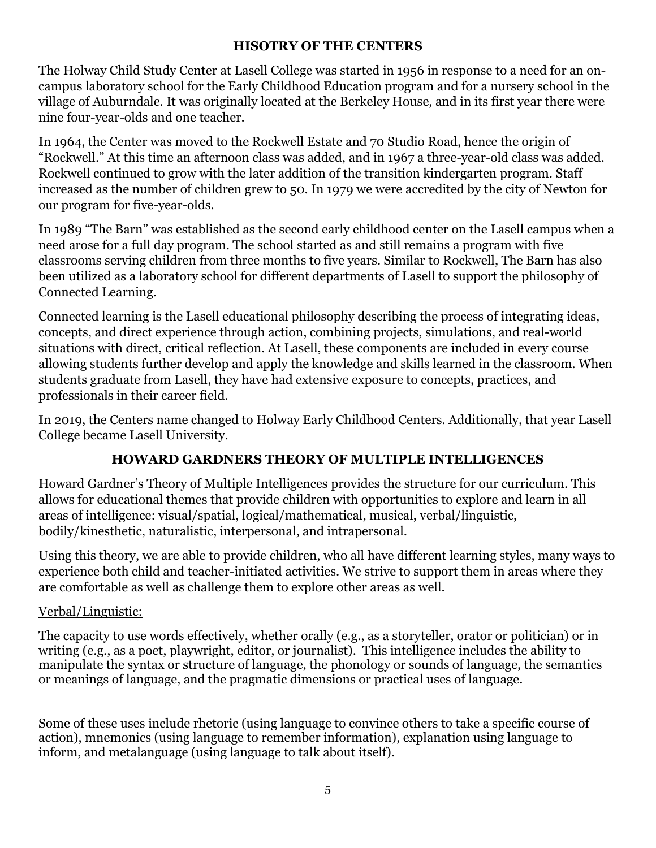### **HISOTRY OF THE CENTERS**

The Holway Child Study Center at Lasell College was started in 1956 in response to a need for an oncampus laboratory school for the Early Childhood Education program and for a nursery school in the village of Auburndale. It was originally located at the Berkeley House, and in its first year there were nine four-year-olds and one teacher.

In 1964, the Center was moved to the Rockwell Estate and 70 Studio Road, hence the origin of "Rockwell." At this time an afternoon class was added, and in 1967 a three-year-old class was added. Rockwell continued to grow with the later addition of the transition kindergarten program. Staff increased as the number of children grew to 50. In 1979 we were accredited by the city of Newton for our program for five-year-olds.

In 1989 "The Barn" was established as the second early childhood center on the Lasell campus when a need arose for a full day program. The school started as and still remains a program with five classrooms serving children from three months to five years. Similar to Rockwell, The Barn has also been utilized as a laboratory school for different departments of Lasell to support the philosophy of Connected Learning.

Connected learning is the Lasell educational philosophy describing the process of integrating ideas, concepts, and direct experience through action, combining projects, simulations, and real-world situations with direct, critical reflection. At Lasell, these components are included in every course allowing students further develop and apply the knowledge and skills learned in the classroom. When students graduate from Lasell, they have had extensive exposure to concepts, practices, and professionals in their career field.

In 2019, the Centers name changed to Holway Early Childhood Centers. Additionally, that year Lasell College became Lasell University.

# **HOWARD GARDNERS THEORY OF MULTIPLE INTELLIGENCES**

Howard Gardner's Theory of Multiple Intelligences provides the structure for our curriculum. This allows for educational themes that provide children with opportunities to explore and learn in all areas of intelligence: visual/spatial, logical/mathematical, musical, verbal/linguistic, bodily/kinesthetic, naturalistic, interpersonal, and intrapersonal.

Using this theory, we are able to provide children, who all have different learning styles, many ways to experience both child and teacher-initiated activities. We strive to support them in areas where they are comfortable as well as challenge them to explore other areas as well.

## Verbal/Linguistic:

The capacity to use words effectively, whether orally (e.g., as a storyteller, orator or politician) or in writing (e.g., as a poet, playwright, editor, or journalist). This intelligence includes the ability to manipulate the syntax or structure of language, the phonology or sounds of language, the semantics or meanings of language, and the pragmatic dimensions or practical uses of language.

Some of these uses include rhetoric (using language to convince others to take a specific course of action), mnemonics (using language to remember information), explanation using language to inform, and metalanguage (using language to talk about itself).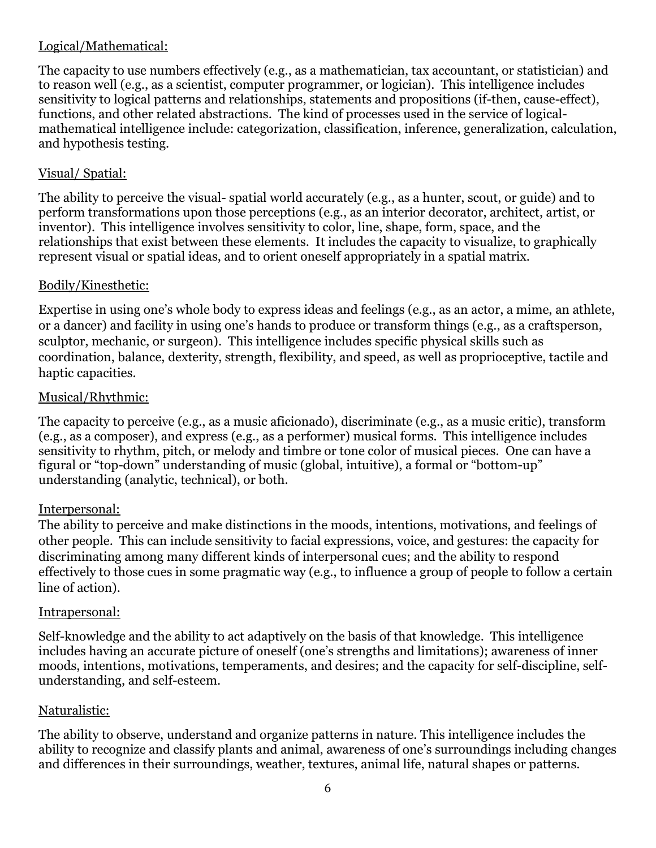### Logical/Mathematical:

The capacity to use numbers effectively (e.g., as a mathematician, tax accountant, or statistician) and to reason well (e.g., as a scientist, computer programmer, or logician). This intelligence includes sensitivity to logical patterns and relationships, statements and propositions (if-then, cause-effect), functions, and other related abstractions. The kind of processes used in the service of logicalmathematical intelligence include: categorization, classification, inference, generalization, calculation, and hypothesis testing.

### Visual/ Spatial:

The ability to perceive the visual- spatial world accurately (e.g., as a hunter, scout, or guide) and to perform transformations upon those perceptions (e.g., as an interior decorator, architect, artist, or inventor). This intelligence involves sensitivity to color, line, shape, form, space, and the relationships that exist between these elements. It includes the capacity to visualize, to graphically represent visual or spatial ideas, and to orient oneself appropriately in a spatial matrix.

#### Bodily/Kinesthetic:

Expertise in using one's whole body to express ideas and feelings (e.g., as an actor, a mime, an athlete, or a dancer) and facility in using one's hands to produce or transform things (e.g., as a craftsperson, sculptor, mechanic, or surgeon). This intelligence includes specific physical skills such as coordination, balance, dexterity, strength, flexibility, and speed, as well as proprioceptive, tactile and haptic capacities.

#### Musical/Rhythmic:

The capacity to perceive (e.g., as a music aficionado), discriminate (e.g., as a music critic), transform (e.g., as a composer), and express (e.g., as a performer) musical forms. This intelligence includes sensitivity to rhythm, pitch, or melody and timbre or tone color of musical pieces. One can have a figural or "top-down" understanding of music (global, intuitive), a formal or "bottom-up" understanding (analytic, technical), or both.

#### Interpersonal:

The ability to perceive and make distinctions in the moods, intentions, motivations, and feelings of other people. This can include sensitivity to facial expressions, voice, and gestures: the capacity for discriminating among many different kinds of interpersonal cues; and the ability to respond effectively to those cues in some pragmatic way (e.g., to influence a group of people to follow a certain line of action).

#### Intrapersonal:

Self-knowledge and the ability to act adaptively on the basis of that knowledge. This intelligence includes having an accurate picture of oneself (one's strengths and limitations); awareness of inner moods, intentions, motivations, temperaments, and desires; and the capacity for self-discipline, selfunderstanding, and self-esteem.

#### Naturalistic:

The ability to observe, understand and organize patterns in nature. This intelligence includes the ability to recognize and classify plants and animal, awareness of one's surroundings including changes and differences in their surroundings, weather, textures, animal life, natural shapes or patterns.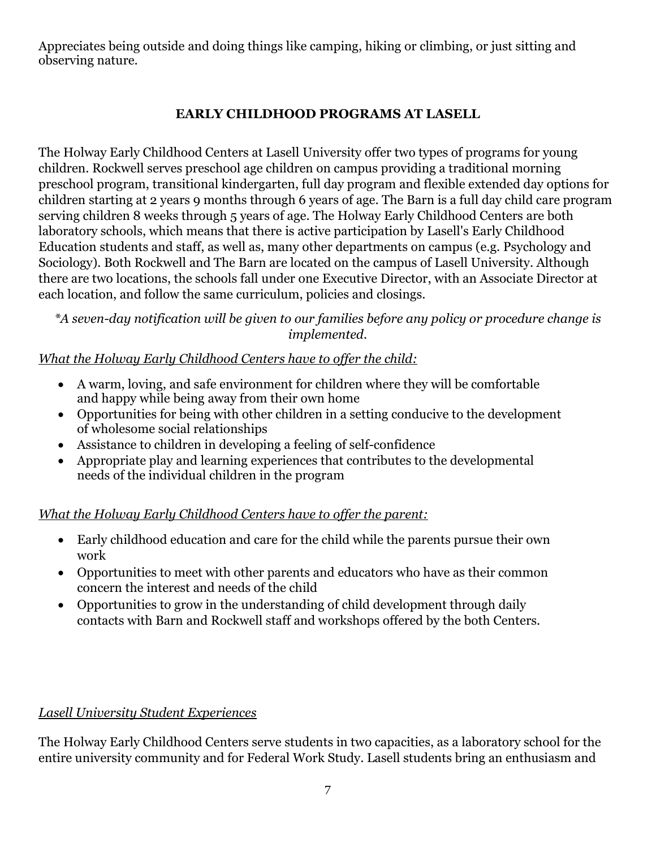Appreciates being outside and doing things like camping, hiking or climbing, or just sitting and observing nature.

# **EARLY CHILDHOOD PROGRAMS AT LASELL**

The Holway Early Childhood Centers at Lasell University offer two types of programs for young children. Rockwell serves preschool age children on campus providing a traditional morning preschool program, transitional kindergarten, full day program and flexible extended day options for children starting at 2 years 9 months through 6 years of age. The Barn is a full day child care program serving children 8 weeks through 5 years of age. The Holway Early Childhood Centers are both laboratory schools, which means that there is active participation by Lasell's Early Childhood Education students and staff, as well as, many other departments on campus (e.g. Psychology and Sociology). Both Rockwell and The Barn are located on the campus of Lasell University. Although there are two locations, the schools fall under one Executive Director, with an Associate Director at each location, and follow the same curriculum, policies and closings.

*\*A seven-day notification will be given to our families before any policy or procedure change is implemented.*

## *What the Holway Early Childhood Centers have to offer the child:*

- A warm, loving, and safe environment for children where they will be comfortable and happy while being away from their own home
- Opportunities for being with other children in a setting conducive to the development of wholesome social relationships
- Assistance to children in developing a feeling of self-confidence
- Appropriate play and learning experiences that contributes to the developmental needs of the individual children in the program

# *What the Holway Early Childhood Centers have to offer the parent:*

- Early childhood education and care for the child while the parents pursue their own work
- Opportunities to meet with other parents and educators who have as their common concern the interest and needs of the child
- Opportunities to grow in the understanding of child development through daily contacts with Barn and Rockwell staff and workshops offered by the both Centers.

## *Lasell University Student Experiences*

The Holway Early Childhood Centers serve students in two capacities, as a laboratory school for the entire university community and for Federal Work Study. Lasell students bring an enthusiasm and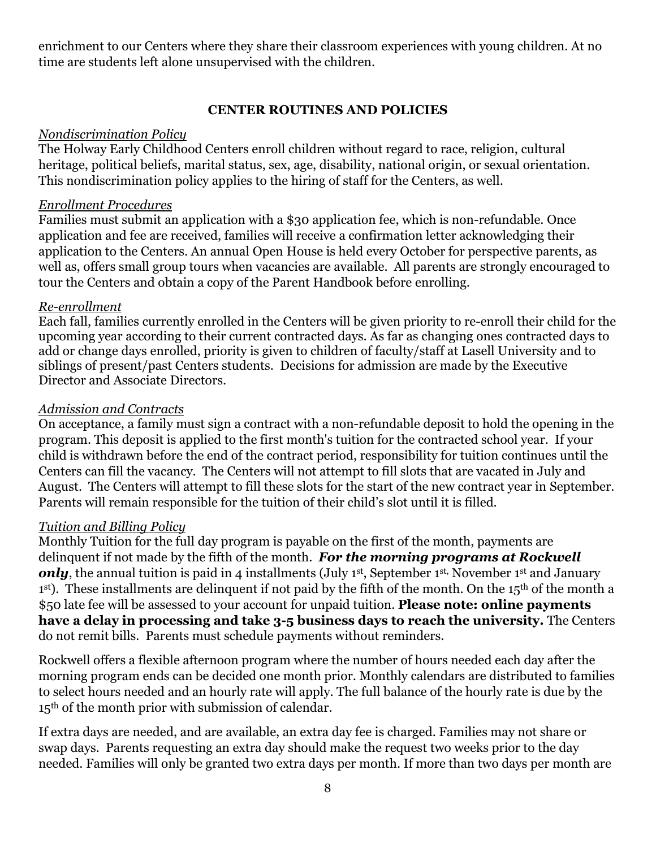enrichment to our Centers where they share their classroom experiences with young children. At no time are students left alone unsupervised with the children.

### **CENTER ROUTINES AND POLICIES**

### *Nondiscrimination Policy*

The Holway Early Childhood Centers enroll children without regard to race, religion, cultural heritage, political beliefs, marital status, sex, age, disability, national origin, or sexual orientation. This nondiscrimination policy applies to the hiring of staff for the Centers, as well.

#### *Enrollment Procedures*

Families must submit an application with a \$30 application fee, which is non-refundable. Once application and fee are received, families will receive a confirmation letter acknowledging their application to the Centers. An annual Open House is held every October for perspective parents, as well as, offers small group tours when vacancies are available. All parents are strongly encouraged to tour the Centers and obtain a copy of the Parent Handbook before enrolling.

#### *Re-enrollment*

Each fall, families currently enrolled in the Centers will be given priority to re-enroll their child for the upcoming year according to their current contracted days. As far as changing ones contracted days to add or change days enrolled, priority is given to children of faculty/staff at Lasell University and to siblings of present/past Centers students. Decisions for admission are made by the Executive Director and Associate Directors.

#### *Admission and Contracts*

On acceptance, a family must sign a contract with a non-refundable deposit to hold the opening in the program. This deposit is applied to the first month's tuition for the contracted school year. If your child is withdrawn before the end of the contract period, responsibility for tuition continues until the Centers can fill the vacancy. The Centers will not attempt to fill slots that are vacated in July and August. The Centers will attempt to fill these slots for the start of the new contract year in September. Parents will remain responsible for the tuition of their child's slot until it is filled.

#### *Tuition and Billing Policy*

Monthly Tuition for the full day program is payable on the first of the month, payments are delinquent if not made by the fifth of the month. *For the morning programs at Rockwell*  **only**, the annual tuition is paid in 4 installments (July 1<sup>st</sup>, September 1<sup>st,</sup> November 1<sup>st</sup> and January  $1<sup>st</sup>$ ). These installments are delinquent if not paid by the fifth of the month. On the  $15<sup>th</sup>$  of the month a \$50 late fee will be assessed to your account for unpaid tuition. **Please note: online payments have a delay in processing and take 3-5 business days to reach the university.** The Centers do not remit bills. Parents must schedule payments without reminders.

Rockwell offers a flexible afternoon program where the number of hours needed each day after the morning program ends can be decided one month prior. Monthly calendars are distributed to families to select hours needed and an hourly rate will apply. The full balance of the hourly rate is due by the 15th of the month prior with submission of calendar.

If extra days are needed, and are available, an extra day fee is charged. Families may not share or swap days. Parents requesting an extra day should make the request two weeks prior to the day needed. Families will only be granted two extra days per month. If more than two days per month are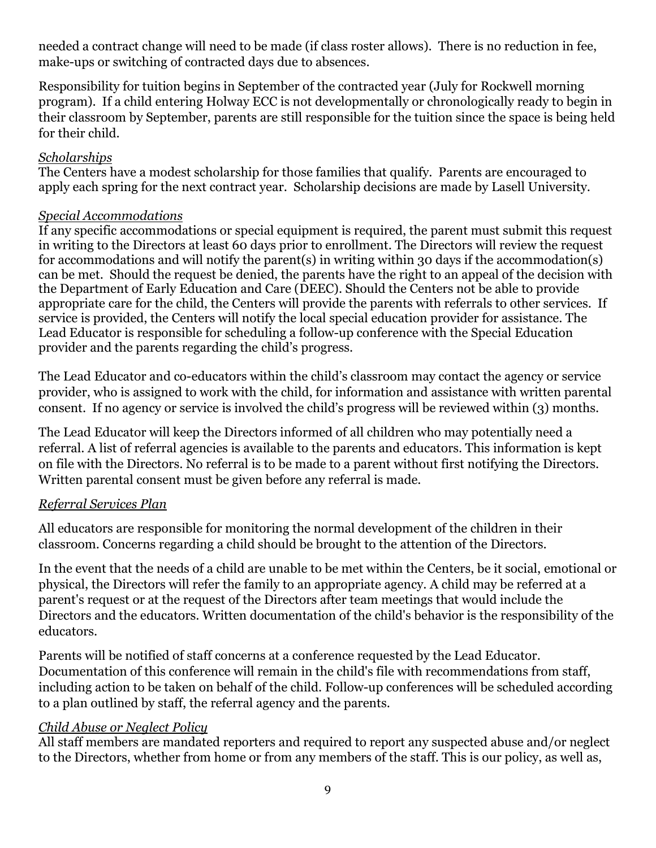needed a contract change will need to be made (if class roster allows). There is no reduction in fee, make-ups or switching of contracted days due to absences.

Responsibility for tuition begins in September of the contracted year (July for Rockwell morning program). If a child entering Holway ECC is not developmentally or chronologically ready to begin in their classroom by September, parents are still responsible for the tuition since the space is being held for their child.

## *Scholarships*

The Centers have a modest scholarship for those families that qualify. Parents are encouraged to apply each spring for the next contract year. Scholarship decisions are made by Lasell University.

### *Special Accommodations*

If any specific accommodations or special equipment is required, the parent must submit this request in writing to the Directors at least 60 days prior to enrollment. The Directors will review the request for accommodations and will notify the parent(s) in writing within 30 days if the accommodation(s) can be met. Should the request be denied, the parents have the right to an appeal of the decision with the Department of Early Education and Care (DEEC). Should the Centers not be able to provide appropriate care for the child, the Centers will provide the parents with referrals to other services. If service is provided, the Centers will notify the local special education provider for assistance. The Lead Educator is responsible for scheduling a follow-up conference with the Special Education provider and the parents regarding the child's progress.

The Lead Educator and co-educators within the child's classroom may contact the agency or service provider, who is assigned to work with the child, for information and assistance with written parental consent. If no agency or service is involved the child's progress will be reviewed within (3) months.

The Lead Educator will keep the Directors informed of all children who may potentially need a referral. A list of referral agencies is available to the parents and educators. This information is kept on file with the Directors. No referral is to be made to a parent without first notifying the Directors. Written parental consent must be given before any referral is made.

## *Referral Services Plan*

All educators are responsible for monitoring the normal development of the children in their classroom. Concerns regarding a child should be brought to the attention of the Directors.

In the event that the needs of a child are unable to be met within the Centers, be it social, emotional or physical, the Directors will refer the family to an appropriate agency. A child may be referred at a parent's request or at the request of the Directors after team meetings that would include the Directors and the educators. Written documentation of the child's behavior is the responsibility of the educators.

Parents will be notified of staff concerns at a conference requested by the Lead Educator. Documentation of this conference will remain in the child's file with recommendations from staff, including action to be taken on behalf of the child. Follow-up conferences will be scheduled according to a plan outlined by staff, the referral agency and the parents.

## *Child Abuse or Neglect Policy*

All staff members are mandated reporters and required to report any suspected abuse and/or neglect to the Directors, whether from home or from any members of the staff. This is our policy, as well as,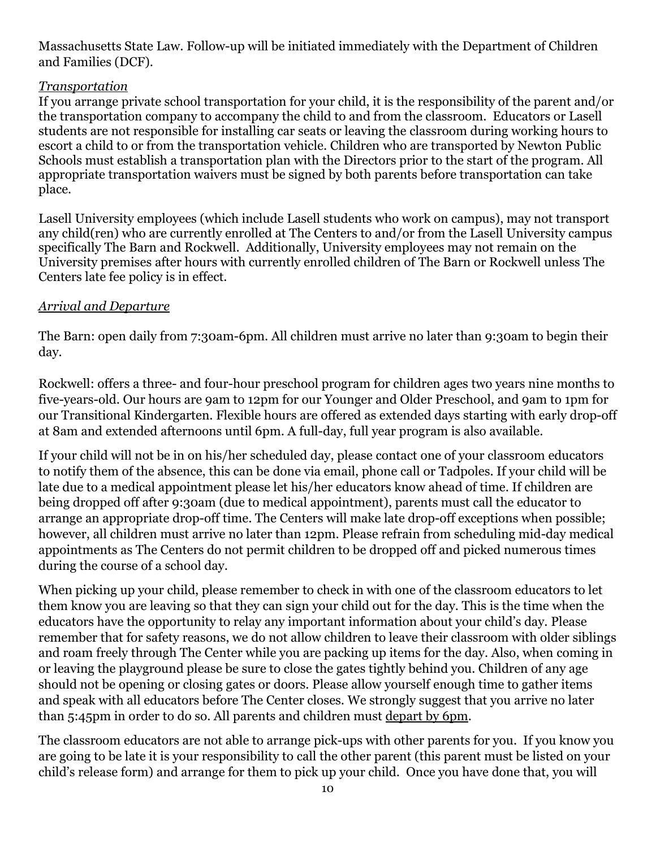Massachusetts State Law. Follow-up will be initiated immediately with the Department of Children and Families (DCF).

## *Transportation*

If you arrange private school transportation for your child, it is the responsibility of the parent and/or the transportation company to accompany the child to and from the classroom. Educators or Lasell students are not responsible for installing car seats or leaving the classroom during working hours to escort a child to or from the transportation vehicle. Children who are transported by Newton Public Schools must establish a transportation plan with the Directors prior to the start of the program. All appropriate transportation waivers must be signed by both parents before transportation can take place.

Lasell University employees (which include Lasell students who work on campus), may not transport any child(ren) who are currently enrolled at The Centers to and/or from the Lasell University campus specifically The Barn and Rockwell. Additionally, University employees may not remain on the University premises after hours with currently enrolled children of The Barn or Rockwell unless The Centers late fee policy is in effect.

## *Arrival and Departure*

The Barn: open daily from 7:30am-6pm. All children must arrive no later than 9:30am to begin their day.

Rockwell: offers a three- and four-hour preschool program for children ages two years nine months to five-years-old. Our hours are 9am to 12pm for our Younger and Older Preschool, and 9am to 1pm for our Transitional Kindergarten. Flexible hours are offered as extended days starting with early drop-off at 8am and extended afternoons until 6pm. A full-day, full year program is also available.

If your child will not be in on his/her scheduled day, please contact one of your classroom educators to notify them of the absence, this can be done via email, phone call or Tadpoles. If your child will be late due to a medical appointment please let his/her educators know ahead of time. If children are being dropped off after 9:30am (due to medical appointment), parents must call the educator to arrange an appropriate drop-off time. The Centers will make late drop-off exceptions when possible; however, all children must arrive no later than 12pm. Please refrain from scheduling mid-day medical appointments as The Centers do not permit children to be dropped off and picked numerous times during the course of a school day.

When picking up your child, please remember to check in with one of the classroom educators to let them know you are leaving so that they can sign your child out for the day. This is the time when the educators have the opportunity to relay any important information about your child's day. Please remember that for safety reasons, we do not allow children to leave their classroom with older siblings and roam freely through The Center while you are packing up items for the day. Also, when coming in or leaving the playground please be sure to close the gates tightly behind you. Children of any age should not be opening or closing gates or doors. Please allow yourself enough time to gather items and speak with all educators before The Center closes. We strongly suggest that you arrive no later than 5:45pm in order to do so. All parents and children must depart by 6pm.

The classroom educators are not able to arrange pick-ups with other parents for you. If you know you are going to be late it is your responsibility to call the other parent (this parent must be listed on your child's release form) and arrange for them to pick up your child. Once you have done that, you will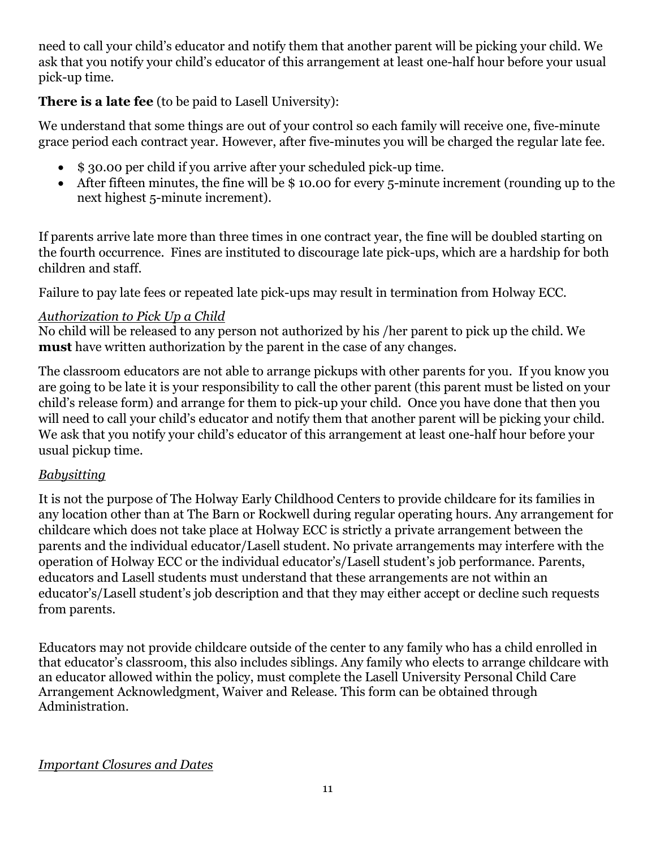need to call your child's educator and notify them that another parent will be picking your child. We ask that you notify your child's educator of this arrangement at least one-half hour before your usual pick-up time.

## **There is a late fee** (to be paid to Lasell University):

We understand that some things are out of your control so each family will receive one, five-minute grace period each contract year. However, after five-minutes you will be charged the regular late fee.

- \$ 30.00 per child if you arrive after your scheduled pick-up time.
- After fifteen minutes, the fine will be \$10.00 for every 5-minute increment (rounding up to the next highest 5-minute increment).

If parents arrive late more than three times in one contract year, the fine will be doubled starting on the fourth occurrence. Fines are instituted to discourage late pick-ups, which are a hardship for both children and staff.

Failure to pay late fees or repeated late pick-ups may result in termination from Holway ECC.

## *Authorization to Pick Up a Child*

No child will be released to any person not authorized by his /her parent to pick up the child. We **must** have written authorization by the parent in the case of any changes.

The classroom educators are not able to arrange pickups with other parents for you. If you know you are going to be late it is your responsibility to call the other parent (this parent must be listed on your child's release form) and arrange for them to pick-up your child. Once you have done that then you will need to call your child's educator and notify them that another parent will be picking your child. We ask that you notify your child's educator of this arrangement at least one-half hour before your usual pickup time.

# *Babysitting*

It is not the purpose of The Holway Early Childhood Centers to provide childcare for its families in any location other than at The Barn or Rockwell during regular operating hours. Any arrangement for childcare which does not take place at Holway ECC is strictly a private arrangement between the parents and the individual educator/Lasell student. No private arrangements may interfere with the operation of Holway ECC or the individual educator's/Lasell student's job performance. Parents, educators and Lasell students must understand that these arrangements are not within an educator's/Lasell student's job description and that they may either accept or decline such requests from parents.

Educators may not provide childcare outside of the center to any family who has a child enrolled in that educator's classroom, this also includes siblings. Any family who elects to arrange childcare with an educator allowed within the policy, must complete the Lasell University Personal Child Care Arrangement Acknowledgment, Waiver and Release. This form can be obtained through Administration.

#### *Important Closures and Dates*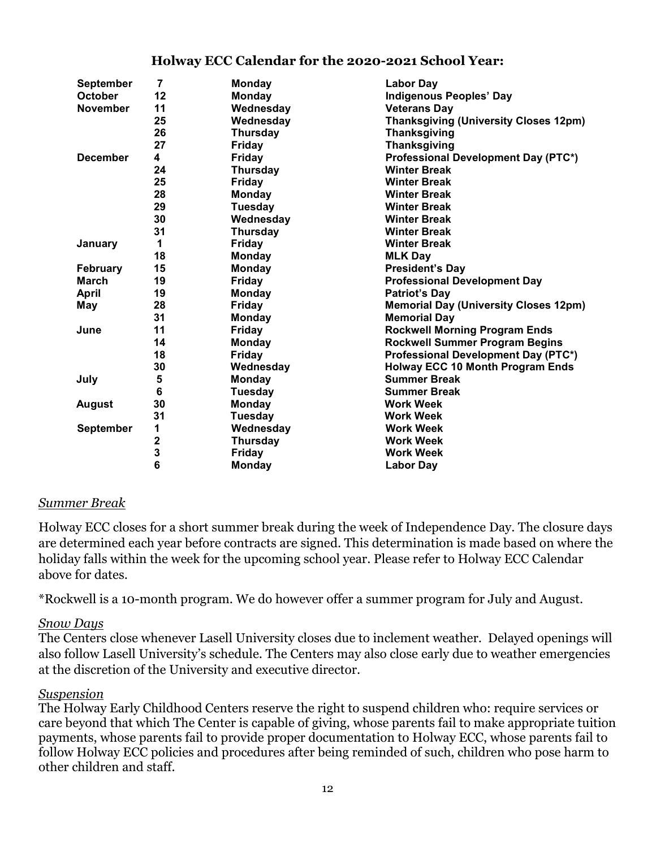| <b>September</b> | $\overline{7}$ | <b>Monday</b>   | <b>Labor Day</b>                             |
|------------------|----------------|-----------------|----------------------------------------------|
| <b>October</b>   | 12             | Monday          | <b>Indigenous Peoples' Day</b>               |
| <b>November</b>  | 11             | Wednesday       | <b>Veterans Day</b>                          |
|                  | 25             | Wednesday       | <b>Thanksgiving (University Closes 12pm)</b> |
|                  | 26             | <b>Thursday</b> | <b>Thanksgiving</b>                          |
|                  | 27             | Friday          | <b>Thanksgiving</b>                          |
| <b>December</b>  | 4              | <b>Friday</b>   | Professional Development Day (PTC*)          |
|                  | 24             | <b>Thursday</b> | <b>Winter Break</b>                          |
|                  | 25             | <b>Friday</b>   | <b>Winter Break</b>                          |
|                  | 28             | <b>Monday</b>   | <b>Winter Break</b>                          |
|                  | 29             | Tuesday         | <b>Winter Break</b>                          |
|                  | 30             | Wednesday       | <b>Winter Break</b>                          |
|                  | 31             | <b>Thursday</b> | <b>Winter Break</b>                          |
| January          | 1              | Friday          | <b>Winter Break</b>                          |
|                  | 18             | <b>Monday</b>   | <b>MLK Day</b>                               |
| <b>February</b>  | 15             | <b>Monday</b>   | <b>President's Day</b>                       |
| <b>March</b>     | 19             | Friday          | <b>Professional Development Day</b>          |
| <b>April</b>     | 19             | Monday          | <b>Patriot's Day</b>                         |
| May              | 28             | <b>Friday</b>   | <b>Memorial Day (University Closes 12pm)</b> |
|                  | 31             | <b>Monday</b>   | <b>Memorial Day</b>                          |
| June             | 11             | Friday          | <b>Rockwell Morning Program Ends</b>         |
|                  | 14             | <b>Monday</b>   | <b>Rockwell Summer Program Begins</b>        |
|                  | 18             | <b>Friday</b>   | Professional Development Day (PTC*)          |
|                  | 30             | Wednesday       | <b>Holway ECC 10 Month Program Ends</b>      |
| July             | 5              | <b>Monday</b>   | <b>Summer Break</b>                          |
|                  | 6              | <b>Tuesday</b>  | <b>Summer Break</b>                          |
| <b>August</b>    | 30             | <b>Monday</b>   | <b>Work Week</b>                             |
|                  | 31             | Tuesday         | <b>Work Week</b>                             |
| <b>September</b> | 1              | Wednesday       | <b>Work Week</b>                             |
|                  |                | <b>Thursday</b> | <b>Work Week</b>                             |
|                  | $\frac{2}{3}$  | <b>Friday</b>   | <b>Work Week</b>                             |
|                  |                | <b>Monday</b>   | <b>Labor Day</b>                             |

#### **Holway ECC Calendar for the 2020-2021 School Year:**

#### *Summer Break*

Holway ECC closes for a short summer break during the week of Independence Day. The closure days are determined each year before contracts are signed. This determination is made based on where the holiday falls within the week for the upcoming school year. Please refer to Holway ECC Calendar above for dates.

\*Rockwell is a 10-month program. We do however offer a summer program for July and August.

#### *Snow Days*

The Centers close whenever Lasell University closes due to inclement weather. Delayed openings will also follow Lasell University's schedule. The Centers may also close early due to weather emergencies at the discretion of the University and executive director.

#### *Suspension*

The Holway Early Childhood Centers reserve the right to suspend children who: require services or care beyond that which The Center is capable of giving, whose parents fail to make appropriate tuition payments, whose parents fail to provide proper documentation to Holway ECC, whose parents fail to follow Holway ECC policies and procedures after being reminded of such, children who pose harm to other children and staff.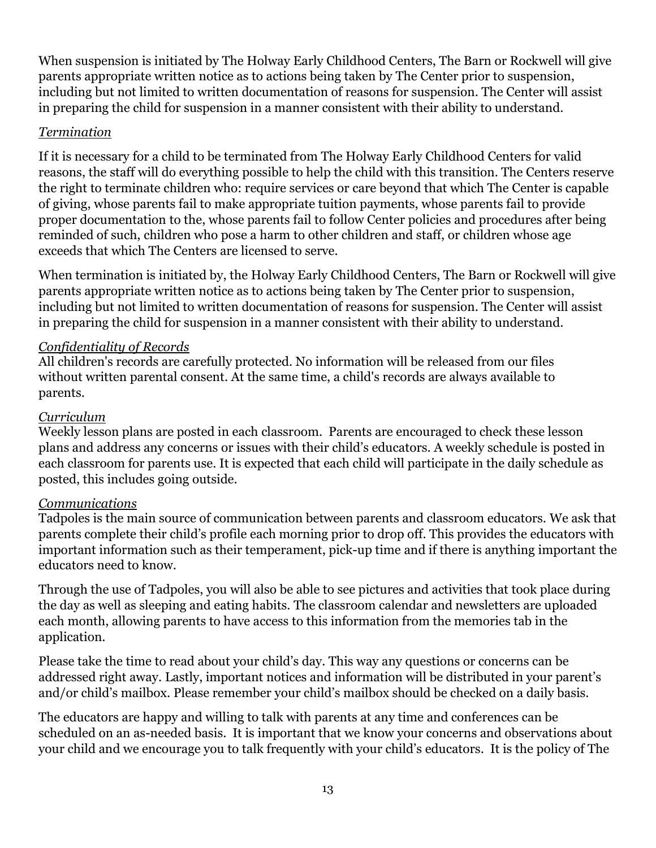When suspension is initiated by The Holway Early Childhood Centers, The Barn or Rockwell will give parents appropriate written notice as to actions being taken by The Center prior to suspension, including but not limited to written documentation of reasons for suspension. The Center will assist in preparing the child for suspension in a manner consistent with their ability to understand.

### *Termination*

If it is necessary for a child to be terminated from The Holway Early Childhood Centers for valid reasons, the staff will do everything possible to help the child with this transition. The Centers reserve the right to terminate children who: require services or care beyond that which The Center is capable of giving, whose parents fail to make appropriate tuition payments, whose parents fail to provide proper documentation to the, whose parents fail to follow Center policies and procedures after being reminded of such, children who pose a harm to other children and staff, or children whose age exceeds that which The Centers are licensed to serve.

When termination is initiated by, the Holway Early Childhood Centers, The Barn or Rockwell will give parents appropriate written notice as to actions being taken by The Center prior to suspension, including but not limited to written documentation of reasons for suspension. The Center will assist in preparing the child for suspension in a manner consistent with their ability to understand.

## *Confidentiality of Records*

All children's records are carefully protected. No information will be released from our files without written parental consent. At the same time, a child's records are always available to parents.

### *Curriculum*

Weekly lesson plans are posted in each classroom. Parents are encouraged to check these lesson plans and address any concerns or issues with their child's educators. A weekly schedule is posted in each classroom for parents use. It is expected that each child will participate in the daily schedule as posted, this includes going outside.

#### *Communications*

Tadpoles is the main source of communication between parents and classroom educators. We ask that parents complete their child's profile each morning prior to drop off. This provides the educators with important information such as their temperament, pick-up time and if there is anything important the educators need to know.

Through the use of Tadpoles, you will also be able to see pictures and activities that took place during the day as well as sleeping and eating habits. The classroom calendar and newsletters are uploaded each month, allowing parents to have access to this information from the memories tab in the application.

Please take the time to read about your child's day. This way any questions or concerns can be addressed right away. Lastly, important notices and information will be distributed in your parent's and/or child's mailbox. Please remember your child's mailbox should be checked on a daily basis.

The educators are happy and willing to talk with parents at any time and conferences can be scheduled on an as-needed basis. It is important that we know your concerns and observations about your child and we encourage you to talk frequently with your child's educators. It is the policy of The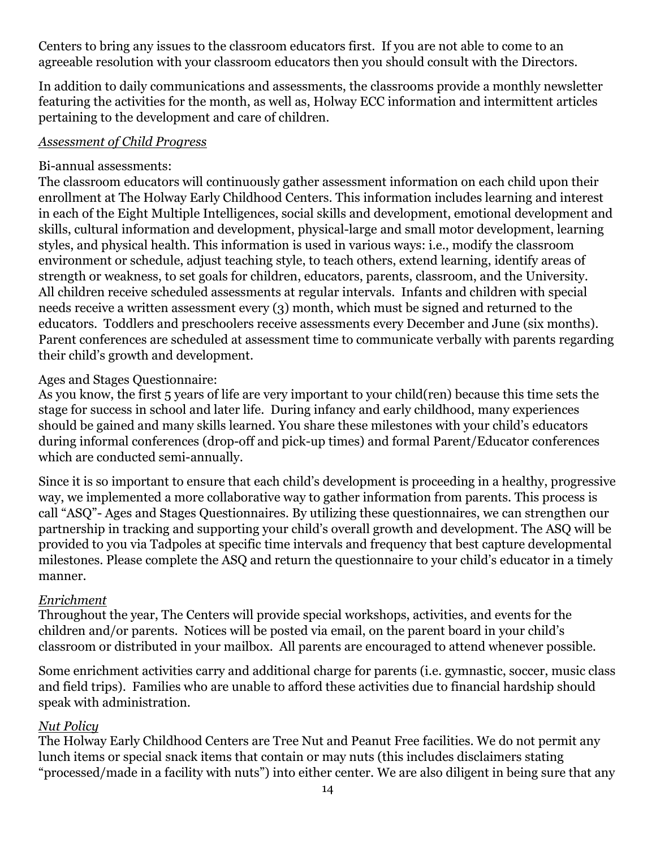Centers to bring any issues to the classroom educators first. If you are not able to come to an agreeable resolution with your classroom educators then you should consult with the Directors.

In addition to daily communications and assessments, the classrooms provide a monthly newsletter featuring the activities for the month, as well as, Holway ECC information and intermittent articles pertaining to the development and care of children.

### *Assessment of Child Progress*

### Bi-annual assessments:

The classroom educators will continuously gather assessment information on each child upon their enrollment at The Holway Early Childhood Centers. This information includes learning and interest in each of the Eight Multiple Intelligences, social skills and development, emotional development and skills, cultural information and development, physical-large and small motor development, learning styles, and physical health. This information is used in various ways: i.e., modify the classroom environment or schedule, adjust teaching style, to teach others, extend learning, identify areas of strength or weakness, to set goals for children, educators, parents, classroom, and the University. All children receive scheduled assessments at regular intervals. Infants and children with special needs receive a written assessment every (3) month, which must be signed and returned to the educators. Toddlers and preschoolers receive assessments every December and June (six months). Parent conferences are scheduled at assessment time to communicate verbally with parents regarding their child's growth and development.

## Ages and Stages Questionnaire:

As you know, the first 5 years of life are very important to your child(ren) because this time sets the stage for success in school and later life. During infancy and early childhood, many experiences should be gained and many skills learned. You share these milestones with your child's educators during informal conferences (drop-off and pick-up times) and formal Parent/Educator conferences which are conducted semi-annually.

Since it is so important to ensure that each child's development is proceeding in a healthy, progressive way, we implemented a more collaborative way to gather information from parents. This process is call "ASQ"- Ages and Stages Questionnaires. By utilizing these questionnaires, we can strengthen our partnership in tracking and supporting your child's overall growth and development. The ASQ will be provided to you via Tadpoles at specific time intervals and frequency that best capture developmental milestones. Please complete the ASQ and return the questionnaire to your child's educator in a timely manner.

## *Enrichment*

Throughout the year, The Centers will provide special workshops, activities, and events for the children and/or parents. Notices will be posted via email, on the parent board in your child's classroom or distributed in your mailbox. All parents are encouraged to attend whenever possible.

Some enrichment activities carry and additional charge for parents (i.e. gymnastic, soccer, music class and field trips). Families who are unable to afford these activities due to financial hardship should speak with administration.

## *Nut Policy*

The Holway Early Childhood Centers are Tree Nut and Peanut Free facilities. We do not permit any lunch items or special snack items that contain or may nuts (this includes disclaimers stating "processed/made in a facility with nuts") into either center. We are also diligent in being sure that any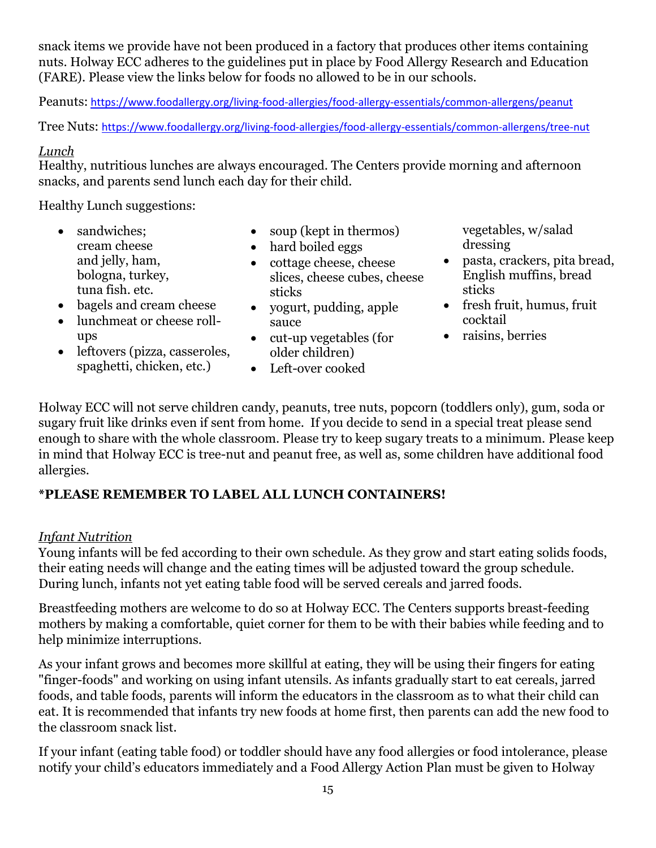snack items we provide have not been produced in a factory that produces other items containing nuts. Holway ECC adheres to the guidelines put in place by Food Allergy Research and Education (FARE). Please view the links below for foods no allowed to be in our schools.

Peanuts: <https://www.foodallergy.org/living-food-allergies/food-allergy-essentials/common-allergens/peanut>

Tree Nuts: <https://www.foodallergy.org/living-food-allergies/food-allergy-essentials/common-allergens/tree-nut>

### *Lunch*

Healthy, nutritious lunches are always encouraged. The Centers provide morning and afternoon snacks, and parents send lunch each day for their child.

Healthy Lunch suggestions:

- sandwiches: cream cheese and jelly, ham, bologna, turkey, tuna fish. etc.
- soup (kept in thermos)
- hard boiled eggs
- cottage cheese, cheese slices, cheese cubes, cheese sticks
- bagels and cream cheese
- lunchmeat or cheese rollups
- leftovers (pizza, casseroles, spaghetti, chicken, etc.)
- yogurt, pudding, apple sauce
- cut-up vegetables (for older children)
- Left-over cooked

vegetables, w/salad dressing

- pasta, crackers, pita bread, English muffins, bread sticks
- fresh fruit, humus, fruit cocktail
- raisins, berries

Holway ECC will not serve children candy, peanuts, tree nuts, popcorn (toddlers only), gum, soda or sugary fruit like drinks even if sent from home. If you decide to send in a special treat please send enough to share with the whole classroom. Please try to keep sugary treats to a minimum. Please keep in mind that Holway ECC is tree-nut and peanut free, as well as, some children have additional food allergies.

# **\*PLEASE REMEMBER TO LABEL ALL LUNCH CONTAINERS!**

## *Infant Nutrition*

Young infants will be fed according to their own schedule. As they grow and start eating solids foods, their eating needs will change and the eating times will be adjusted toward the group schedule. During lunch, infants not yet eating table food will be served cereals and jarred foods.

Breastfeeding mothers are welcome to do so at Holway ECC. The Centers supports breast-feeding mothers by making a comfortable, quiet corner for them to be with their babies while feeding and to help minimize interruptions.

As your infant grows and becomes more skillful at eating, they will be using their fingers for eating "finger-foods" and working on using infant utensils. As infants gradually start to eat cereals, jarred foods, and table foods, parents will inform the educators in the classroom as to what their child can eat. It is recommended that infants try new foods at home first, then parents can add the new food to the classroom snack list.

If your infant (eating table food) or toddler should have any food allergies or food intolerance, please notify your child's educators immediately and a Food Allergy Action Plan must be given to Holway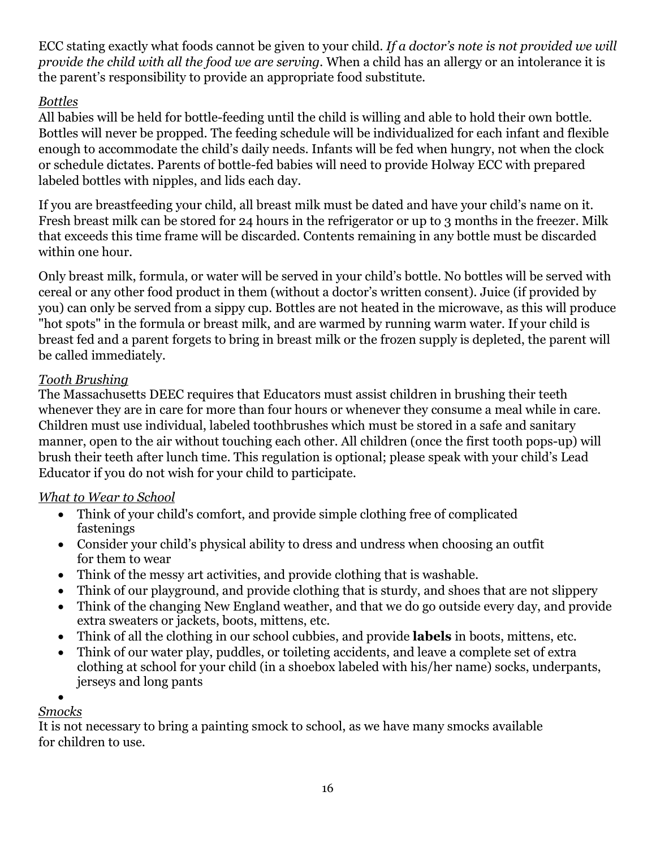ECC stating exactly what foods cannot be given to your child. *If a doctor's note is not provided we will provide the child with all the food we are serving.* When a child has an allergy or an intolerance it is the parent's responsibility to provide an appropriate food substitute.

# *Bottles*

All babies will be held for bottle-feeding until the child is willing and able to hold their own bottle. Bottles will never be propped. The feeding schedule will be individualized for each infant and flexible enough to accommodate the child's daily needs. Infants will be fed when hungry, not when the clock or schedule dictates. Parents of bottle-fed babies will need to provide Holway ECC with prepared labeled bottles with nipples, and lids each day.

If you are breastfeeding your child, all breast milk must be dated and have your child's name on it. Fresh breast milk can be stored for 24 hours in the refrigerator or up to 3 months in the freezer. Milk that exceeds this time frame will be discarded. Contents remaining in any bottle must be discarded within one hour.

Only breast milk, formula, or water will be served in your child's bottle. No bottles will be served with cereal or any other food product in them (without a doctor's written consent). Juice (if provided by you) can only be served from a sippy cup. Bottles are not heated in the microwave, as this will produce "hot spots" in the formula or breast milk, and are warmed by running warm water. If your child is breast fed and a parent forgets to bring in breast milk or the frozen supply is depleted, the parent will be called immediately.

## *Tooth Brushing*

The Massachusetts DEEC requires that Educators must assist children in brushing their teeth whenever they are in care for more than four hours or whenever they consume a meal while in care. Children must use individual, labeled toothbrushes which must be stored in a safe and sanitary manner, open to the air without touching each other. All children (once the first tooth pops-up) will brush their teeth after lunch time. This regulation is optional; please speak with your child's Lead Educator if you do not wish for your child to participate.

# *What to Wear to School*

- Think of your child's comfort, and provide simple clothing free of complicated fastenings
- Consider your child's physical ability to dress and undress when choosing an outfit for them to wear
- Think of the messy art activities, and provide clothing that is washable.
- Think of our playground, and provide clothing that is sturdy, and shoes that are not slippery
- Think of the changing New England weather, and that we do go outside every day, and provide extra sweaters or jackets, boots, mittens, etc.
- Think of all the clothing in our school cubbies, and provide **labels** in boots, mittens, etc.
- Think of our water play, puddles, or toileting accidents, and leave a complete set of extra clothing at school for your child (in a shoebox labeled with his/her name) socks, underpants, jerseys and long pants

## •

## *Smocks*

It is not necessary to bring a painting smock to school, as we have many smocks available for children to use.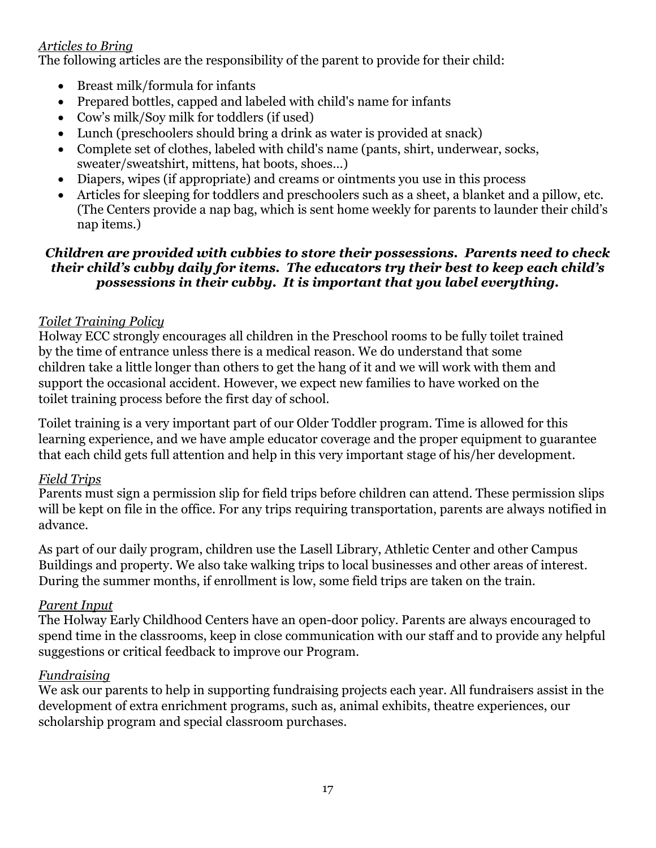## *Articles to Bring*

The following articles are the responsibility of the parent to provide for their child:

- Breast milk/formula for infants
- Prepared bottles, capped and labeled with child's name for infants
- Cow's milk/Soy milk for toddlers (if used)
- Lunch (preschoolers should bring a drink as water is provided at snack)
- Complete set of clothes, labeled with child's name (pants, shirt, underwear, socks, sweater/sweatshirt, mittens, hat boots, shoes…)
- Diapers, wipes (if appropriate) and creams or ointments you use in this process
- Articles for sleeping for toddlers and preschoolers such as a sheet, a blanket and a pillow, etc. (The Centers provide a nap bag, which is sent home weekly for parents to launder their child's nap items.)

#### *Children are provided with cubbies to store their possessions. Parents need to check their child's cubby daily for items. The educators try their best to keep each child's possessions in their cubby. It is important that you label everything.*

## *Toilet Training Policy*

Holway ECC strongly encourages all children in the Preschool rooms to be fully toilet trained by the time of entrance unless there is a medical reason. We do understand that some children take a little longer than others to get the hang of it and we will work with them and support the occasional accident. However, we expect new families to have worked on the toilet training process before the first day of school.

Toilet training is a very important part of our Older Toddler program. Time is allowed for this learning experience, and we have ample educator coverage and the proper equipment to guarantee that each child gets full attention and help in this very important stage of his/her development.

#### *Field Trips*

Parents must sign a permission slip for field trips before children can attend. These permission slips will be kept on file in the office. For any trips requiring transportation, parents are always notified in advance.

As part of our daily program, children use the Lasell Library, Athletic Center and other Campus Buildings and property. We also take walking trips to local businesses and other areas of interest. During the summer months, if enrollment is low, some field trips are taken on the train.

#### *Parent Input*

The Holway Early Childhood Centers have an open-door policy. Parents are always encouraged to spend time in the classrooms, keep in close communication with our staff and to provide any helpful suggestions or critical feedback to improve our Program.

#### *Fundraising*

We ask our parents to help in supporting fundraising projects each year. All fundraisers assist in the development of extra enrichment programs, such as, animal exhibits, theatre experiences, our scholarship program and special classroom purchases.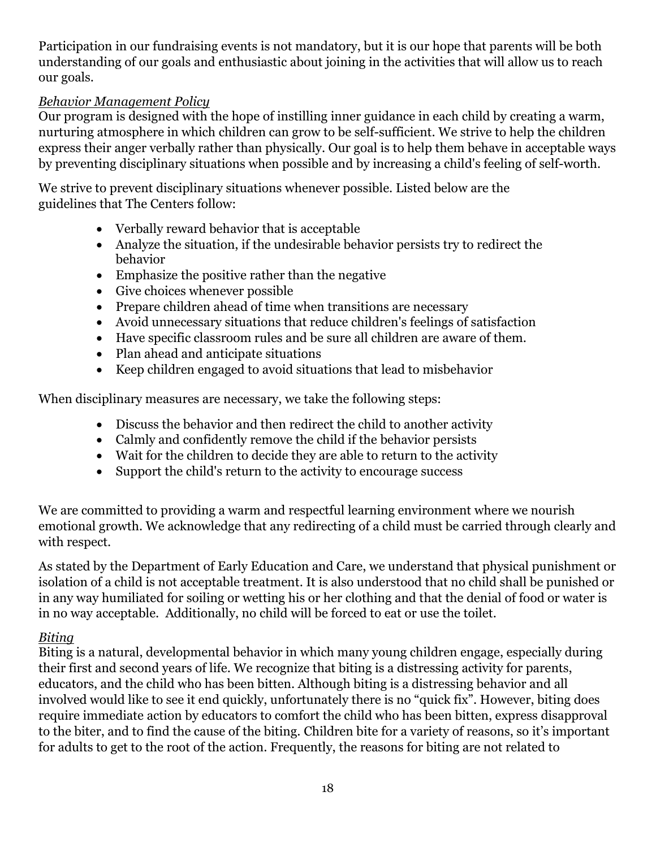Participation in our fundraising events is not mandatory, but it is our hope that parents will be both understanding of our goals and enthusiastic about joining in the activities that will allow us to reach our goals.

### *Behavior Management Policy*

Our program is designed with the hope of instilling inner guidance in each child by creating a warm, nurturing atmosphere in which children can grow to be self-sufficient. We strive to help the children express their anger verbally rather than physically. Our goal is to help them behave in acceptable ways by preventing disciplinary situations when possible and by increasing a child's feeling of self-worth.

We strive to prevent disciplinary situations whenever possible. Listed below are the guidelines that The Centers follow:

- Verbally reward behavior that is acceptable
- Analyze the situation, if the undesirable behavior persists try to redirect the behavior
- Emphasize the positive rather than the negative
- Give choices whenever possible
- Prepare children ahead of time when transitions are necessary
- Avoid unnecessary situations that reduce children's feelings of satisfaction
- Have specific classroom rules and be sure all children are aware of them.
- Plan ahead and anticipate situations
- Keep children engaged to avoid situations that lead to misbehavior

When disciplinary measures are necessary, we take the following steps:

- Discuss the behavior and then redirect the child to another activity
- Calmly and confidently remove the child if the behavior persists
- Wait for the children to decide they are able to return to the activity
- Support the child's return to the activity to encourage success

We are committed to providing a warm and respectful learning environment where we nourish emotional growth. We acknowledge that any redirecting of a child must be carried through clearly and with respect.

As stated by the Department of Early Education and Care, we understand that physical punishment or isolation of a child is not acceptable treatment. It is also understood that no child shall be punished or in any way humiliated for soiling or wetting his or her clothing and that the denial of food or water is in no way acceptable. Additionally, no child will be forced to eat or use the toilet.

## *Biting*

Biting is a natural, developmental behavior in which many young children engage, especially during their first and second years of life. We recognize that biting is a distressing activity for parents, educators, and the child who has been bitten. Although biting is a distressing behavior and all involved would like to see it end quickly, unfortunately there is no "quick fix". However, biting does require immediate action by educators to comfort the child who has been bitten, express disapproval to the biter, and to find the cause of the biting. Children bite for a variety of reasons, so it's important for adults to get to the root of the action. Frequently, the reasons for biting are not related to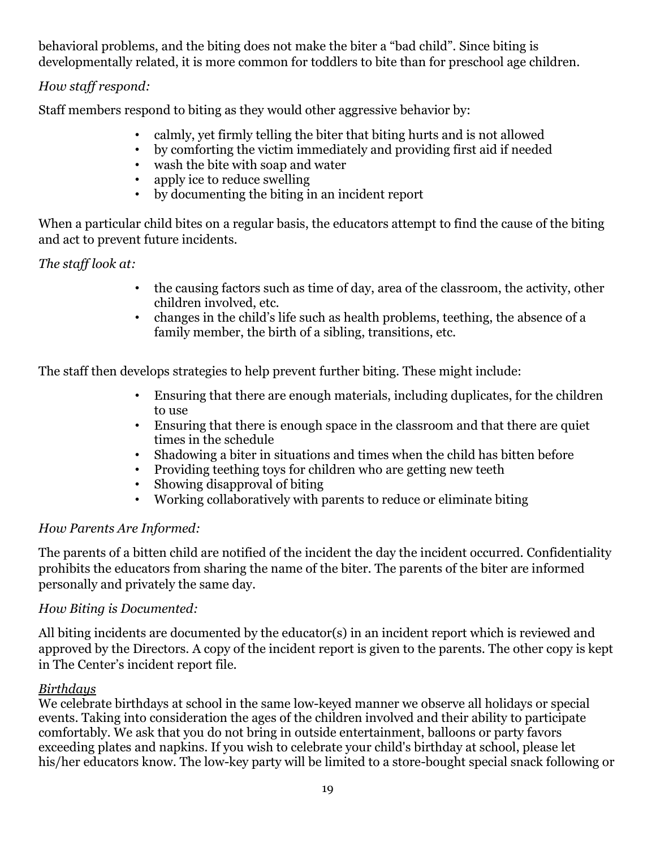behavioral problems, and the biting does not make the biter a "bad child". Since biting is developmentally related, it is more common for toddlers to bite than for preschool age children.

# *How staff respond:*

Staff members respond to biting as they would other aggressive behavior by:

- calmly, yet firmly telling the biter that biting hurts and is not allowed
- by comforting the victim immediately and providing first aid if needed
- wash the bite with soap and water
- apply ice to reduce swelling
- by documenting the biting in an incident report

When a particular child bites on a regular basis, the educators attempt to find the cause of the biting and act to prevent future incidents.

# *The staff look at:*

- the causing factors such as time of day, area of the classroom, the activity, other children involved, etc.
- changes in the child's life such as health problems, teething, the absence of a family member, the birth of a sibling, transitions, etc.

The staff then develops strategies to help prevent further biting. These might include:

- Ensuring that there are enough materials, including duplicates, for the children to use
- Ensuring that there is enough space in the classroom and that there are quiet times in the schedule
- Shadowing a biter in situations and times when the child has bitten before
- Providing teething toys for children who are getting new teeth
- Showing disapproval of biting
- Working collaboratively with parents to reduce or eliminate biting

# *How Parents Are Informed:*

The parents of a bitten child are notified of the incident the day the incident occurred. Confidentiality prohibits the educators from sharing the name of the biter. The parents of the biter are informed personally and privately the same day.

## *How Biting is Documented:*

All biting incidents are documented by the educator(s) in an incident report which is reviewed and approved by the Directors. A copy of the incident report is given to the parents. The other copy is kept in The Center's incident report file.

## *Birthdays*

We celebrate birthdays at school in the same low-keyed manner we observe all holidays or special events. Taking into consideration the ages of the children involved and their ability to participate comfortably. We ask that you do not bring in outside entertainment, balloons or party favors exceeding plates and napkins. If you wish to celebrate your child's birthday at school, please let his/her educators know. The low-key party will be limited to a store-bought special snack following or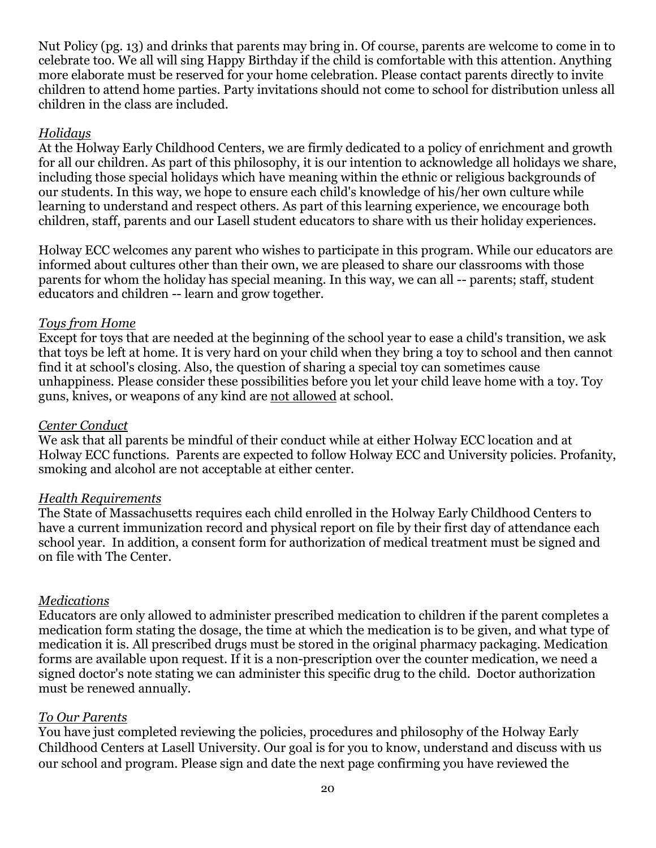Nut Policy (pg. 13) and drinks that parents may bring in. Of course, parents are welcome to come in to celebrate too. We all will sing Happy Birthday if the child is comfortable with this attention. Anything more elaborate must be reserved for your home celebration. Please contact parents directly to invite children to attend home parties. Party invitations should not come to school for distribution unless all children in the class are included.

#### *Holidays*

At the Holway Early Childhood Centers, we are firmly dedicated to a policy of enrichment and growth for all our children. As part of this philosophy, it is our intention to acknowledge all holidays we share, including those special holidays which have meaning within the ethnic or religious backgrounds of our students. In this way, we hope to ensure each child's knowledge of his/her own culture while learning to understand and respect others. As part of this learning experience, we encourage both children, staff, parents and our Lasell student educators to share with us their holiday experiences.

Holway ECC welcomes any parent who wishes to participate in this program. While our educators are informed about cultures other than their own, we are pleased to share our classrooms with those parents for whom the holiday has special meaning. In this way, we can all -- parents; staff, student educators and children -- learn and grow together.

#### *Toys from Home*

Except for toys that are needed at the beginning of the school year to ease a child's transition, we ask that toys be left at home. It is very hard on your child when they bring a toy to school and then cannot find it at school's closing. Also, the question of sharing a special toy can sometimes cause unhappiness. Please consider these possibilities before you let your child leave home with a toy. Toy guns, knives, or weapons of any kind are not allowed at school.

#### *Center Conduct*

We ask that all parents be mindful of their conduct while at either Holway ECC location and at Holway ECC functions. Parents are expected to follow Holway ECC and University policies. Profanity, smoking and alcohol are not acceptable at either center.

#### *Health Requirements*

The State of Massachusetts requires each child enrolled in the Holway Early Childhood Centers to have a current immunization record and physical report on file by their first day of attendance each school year. In addition, a consent form for authorization of medical treatment must be signed and on file with The Center.

#### *Medications*

Educators are only allowed to administer prescribed medication to children if the parent completes a medication form stating the dosage, the time at which the medication is to be given, and what type of medication it is. All prescribed drugs must be stored in the original pharmacy packaging. Medication forms are available upon request. If it is a non-prescription over the counter medication, we need a signed doctor's note stating we can administer this specific drug to the child. Doctor authorization must be renewed annually.

#### *To Our Parents*

You have just completed reviewing the policies, procedures and philosophy of the Holway Early Childhood Centers at Lasell University. Our goal is for you to know, understand and discuss with us our school and program. Please sign and date the next page confirming you have reviewed the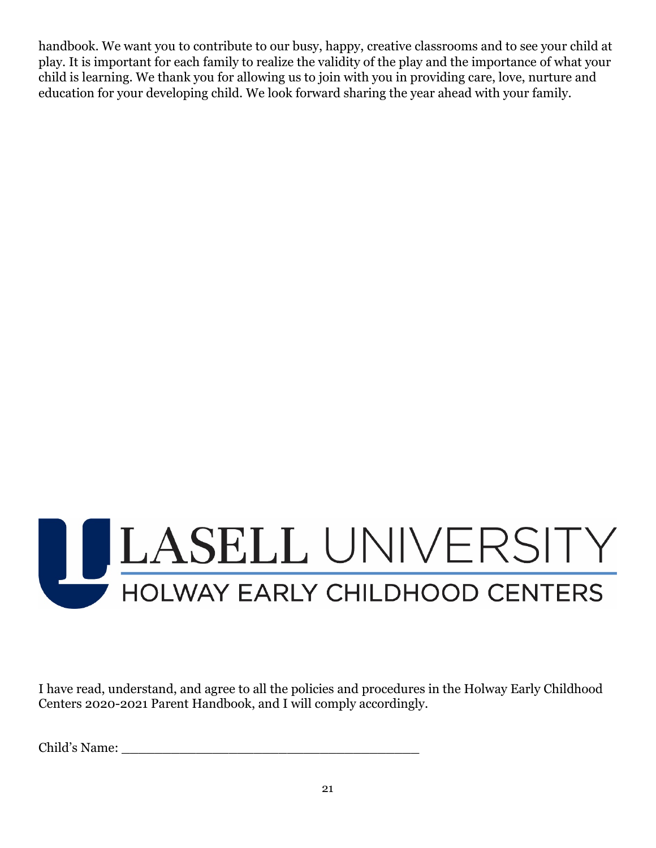handbook. We want you to contribute to our busy, happy, creative classrooms and to see your child at play. It is important for each family to realize the validity of the play and the importance of what your child is learning. We thank you for allowing us to join with you in providing care, love, nurture and education for your developing child. We look forward sharing the year ahead with your family.



I have read, understand, and agree to all the policies and procedures in the Holway Early Childhood Centers 2020-2021 Parent Handbook, and I will comply accordingly.

Child's Name: